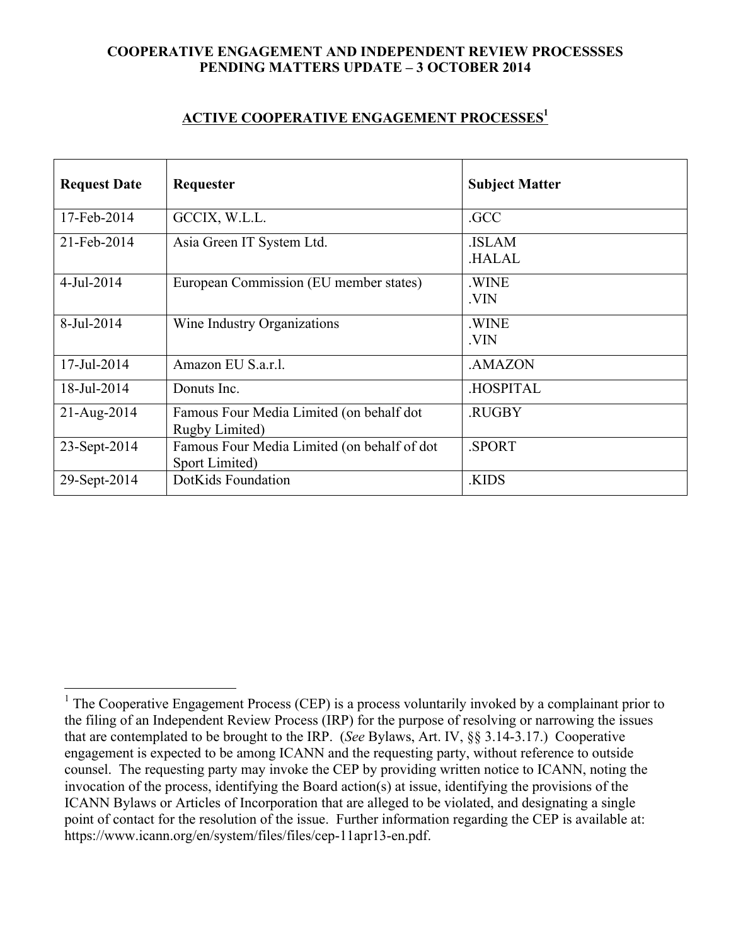## **COOPERATIVE ENGAGEMENT AND INDEPENDENT REVIEW PROCESSSES PENDING MATTERS UPDATE – 3 OCTOBER 2014**

## **ACTIVE COOPERATIVE ENGAGEMENT PROCESSES1**

| <b>Request Date</b> | Requester                                                     | <b>Subject Matter</b>        |
|---------------------|---------------------------------------------------------------|------------------------------|
| 17-Feb-2014         | GCCIX, W.L.L.                                                 | .GCC                         |
| 21-Feb-2014         | Asia Green IT System Ltd.                                     | <b>ISLAM</b><br><b>HALAL</b> |
| 4-Jul-2014          | European Commission (EU member states)                        | .WINE<br>.VIN                |
| 8-Jul-2014          | Wine Industry Organizations                                   | .WINE<br>.VIN                |
| 17-Jul-2014         | Amazon EU S.a.r.l.                                            | .AMAZON                      |
| 18-Jul-2014         | Donuts Inc.                                                   | <b>HOSPITAL</b>              |
| 21-Aug-2014         | Famous Four Media Limited (on behalf dot<br>Rugby Limited)    | .RUGBY                       |
| 23-Sept-2014        | Famous Four Media Limited (on behalf of dot<br>Sport Limited) | .SPORT                       |
| 29-Sept-2014        | DotKids Foundation                                            | .KIDS                        |

<sup>&</sup>lt;sup>1</sup> The Cooperative Engagement Process (CEP) is a process voluntarily invoked by a complainant prior to the filing of an Independent Review Process (IRP) for the purpose of resolving or narrowing the issues that are contemplated to be brought to the IRP. (*See* Bylaws, Art. IV, §§ 3.14-3.17.) Cooperative engagement is expected to be among ICANN and the requesting party, without reference to outside counsel. The requesting party may invoke the CEP by providing written notice to ICANN, noting the invocation of the process, identifying the Board action(s) at issue, identifying the provisions of the ICANN Bylaws or Articles of Incorporation that are alleged to be violated, and designating a single point of contact for the resolution of the issue. Further information regarding the CEP is available at: https://www.icann.org/en/system/files/files/cep-11apr13-en.pdf.